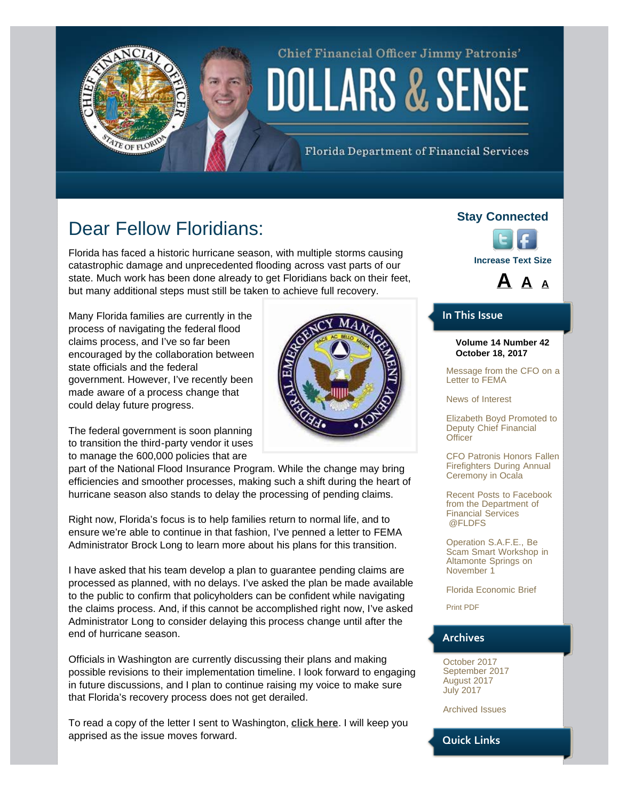# Chief Financial Officer Jimmy Patronis' DOLLARS & SENSE

Florida Department of Financial Services

## Dear Fellow Floridians:

<span id="page-0-0"></span>TE OF FLORID

Florida has faced a historic hurricane season, with multiple storms causing catastrophic damage and unprecedented flooding across vast parts of our state. Much work has been done already to get Floridians back on their feet, but many additional steps must still be taken to achieve full recovery.

Many Florida families are currently in the process of navigating the federal flood claims process, and I've so far been encouraged by the collaboration between state officials and the federal government. However, I've recently been made aware of a process change that could delay future progress.

The federal government is soon planning to transition the third-party vendor it uses to manage the 600,000 policies that are

part of the National Flood Insurance Program. While the change may bring efficiencies and smoother processes, making such a shift during the heart of hurricane season also stands to delay the processing of pending claims.

Right now, Florida's focus is to help families return to normal life, and to ensure we're able to continue in that fashion, I've penned a letter to FEMA Administrator Brock Long to learn more about his plans for this transition.

I have asked that his team develop a plan to guarantee pending claims are processed as planned, with no delays. I've asked the plan be made available to the public to confirm that policyholders can be confident while navigating the claims process. And, if this cannot be accomplished right now, I've asked Administrator Long to consider delaying this process change until after the end of hurricane season.

Officials in Washington are currently discussing their plans and making possible revisions to their implementation timeline. I look forward to engaging in future discussions, and I plan to continue raising my voice to make sure that Florida's recovery process does not get derailed.

To read a copy of the letter I sent to Washington, **[click here](https://www.myfloridacfo.com/documents/10.18.17AdministratorBrockLong.pdf)**. I will keep you apprised as the issue moves forward.

### **Stay Connected**



### **[A](#page-0-0) [A](#page-0-0) [A](#page-0-0)**

#### **In This Issue**

#### **Volume 14 Number 42 October 18, 2017**

[Message from the CFO on a](#page-0-0) [Letter to FEMA](#page-0-0)

[News of Interest](#page-2-0)

[Elizabeth Boyd Promoted to](#page-2-1) [Deputy Chief Financial](#page-2-1) **[Officer](#page-2-1)** 

[CFO Patronis Honors Fallen](#page-3-0) [Firefighters During Annual](#page-3-0) [Ceremony in Ocala](#page-3-0)

[Recent Posts to Facebook](#page-4-0) [from the Department of](#page-4-0) [Financial Services](#page-4-0) [@FLDFS](#page-4-0)

[Operation S.A.F.E., Be](#page-5-0) [Scam Smart Workshop in](#page-5-0) [Altamonte Springs on](#page-5-0) [November 1](#page-5-0)

[Florida Economic Brief](#page-5-1)

[Print PDF](http://www.myfloridacfo.com/PressOffice/Newsletter/2017/101817/CFOPatronisDollarsSense101817.pdf)

### **Archives**

[October 2017](http://staging.fldoi.gov/pressoffice/newsletter/newsletter_archivenew.htm#4) [September 2017](http://staging.fldoi.gov/pressoffice/newsletter/newsletter_archivenew.htm#3) [August 2017](http://staging.fldoi.gov/pressoffice/newsletter/newsletter_archivenew.htm#2) [July 2017](http://staging.fldoi.gov/pressoffice/newsletter/newsletter_archivenew.htm#1)

[Archived Issues](http://staging.fldoi.gov/pressoffice/newsletter/2014Issues.aspx#2017)

**Quick Links**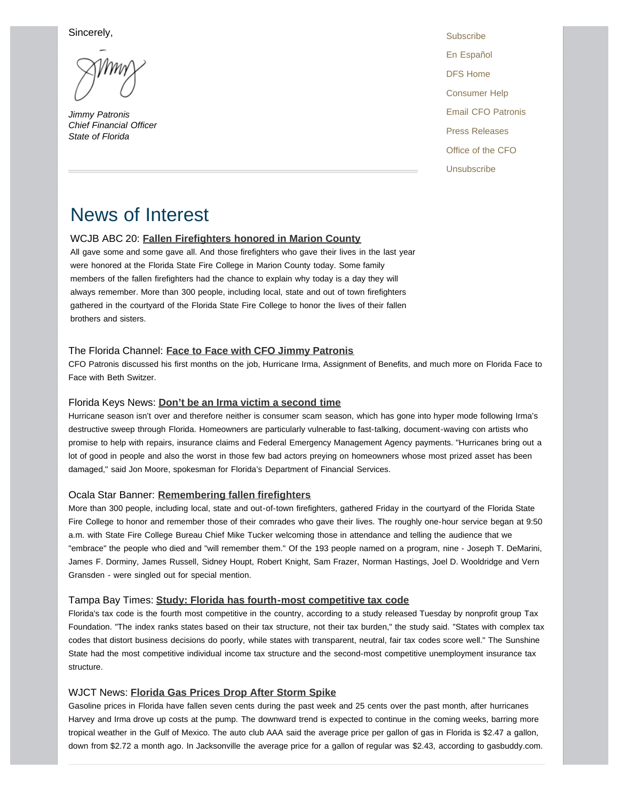Sincerely,

*Jimmy Patronis Chief Financial Officer State of Florida* 

**[Subscribe](http://dfs.imarcsgroup.com/home/)** [En Español](http://espanol.myfloridacfo.com/) [DFS Home](http://www.myfloridacfo.com/) [Consumer Help](http://www.myfloridacfo.com/Division/Consumers/needourhelp.htm) [Email CFO Patronis](mailto:CFO.Patronis@MyFloridaCFO.com) [Press Releases](http://www.myfloridacfo.com/sitePages/newsroom/default.aspx) [Office of the CFO](http://www.myfloridacfo.com/division/cfo/) [Unsubscribe](http://dfs.imarcsgroup.com/subscriber/unsubscribe/)

### News of Interest

#### WCJB ABC 20: **[Fallen Firefighters honored in Marion County](http://www.wcjb.com/content/news/Fallen-Firefighters-honored-in-Marion-County-450821493.html)**

All gave some and some gave all. And those firefighters who gave their lives in the last year were honored at the Florida State Fire College in Marion County today. Some family members of the fallen firefighters had the chance to explain why today is a day they will always remember. More than 300 people, including local, state and out of town firefighters gathered in the courtyard of the Florida State Fire College to honor the lives of their fallen brothers and sisters.

#### The Florida Channel: **[Face to Face with CFO Jimmy Patronis](http://thefloridachannel.org/videos/chief-financial-officer-jimmy-patronis/)**

CFO Patronis discussed his first months on the job, Hurricane Irma, Assignment of Benefits, and much more on Florida Face to Face with Beth Switzer.

#### Florida Keys News: **[Don't be an Irma victim a second time](http://www.flkeysnews.com/news/local/article178729221.html)**

Hurricane season isn't over and therefore neither is consumer scam season, which has gone into hyper mode following Irma's destructive sweep through Florida. Homeowners are particularly vulnerable to fast-talking, document-waving con artists who promise to help with repairs, insurance claims and Federal Emergency Management Agency payments. "Hurricanes bring out a lot of good in people and also the worst in those few bad actors preying on homeowners whose most prized asset has been damaged," said Jon Moore, spokesman for Florida's Department of Financial Services.

#### Ocala Star Banner: **[Remembering fallen firefighters](http://www.ocala.com/news/20171013/remembering-fallen-firefighters)**

More than 300 people, including local, state and out-of-town firefighters, gathered Friday in the courtyard of the Florida State Fire College to honor and remember those of their comrades who gave their lives. The roughly one-hour service began at 9:50 a.m. with State Fire College Bureau Chief Mike Tucker welcoming those in attendance and telling the audience that we "embrace" the people who died and "will remember them." Of the 193 people named on a program, nine - Joseph T. DeMarini, James F. Dorminy, James Russell, Sidney Houpt, Robert Knight, Sam Frazer, Norman Hastings, Joel D. Wooldridge and Vern Gransden - were singled out for special mention.

#### Tampa Bay Times: **[Study: Florida has fourth-most competitive tax code](http://www.tampabay.com/news/business/banking/study-florida-has-fourth-most-competitive-tax-code/2341362)**

Florida's tax code is the fourth most competitive in the country, according to a study released Tuesday by nonprofit group Tax Foundation. "The index ranks states based on their tax structure, not their tax burden," the study said. "States with complex tax codes that distort business decisions do poorly, while states with transparent, neutral, fair tax codes score well." The Sunshine State had the most competitive individual income tax structure and the second-most competitive unemployment insurance tax structure.

#### WJCT News: **[Florida Gas Prices Drop After Storm Spike](http://news.wjct.org/post/florida-gas-prices-drop-after-storm-spike)**

Gasoline prices in Florida have fallen seven cents during the past week and 25 cents over the past month, after hurricanes Harvey and Irma drove up costs at the pump. The downward trend is expected to continue in the coming weeks, barring more tropical weather in the Gulf of Mexico. The auto club AAA said the average price per gallon of gas in Florida is \$2.47 a gallon, down from \$2.72 a month ago. In Jacksonville the average price for a gallon of regular was \$2.43, according to gasbuddy.com.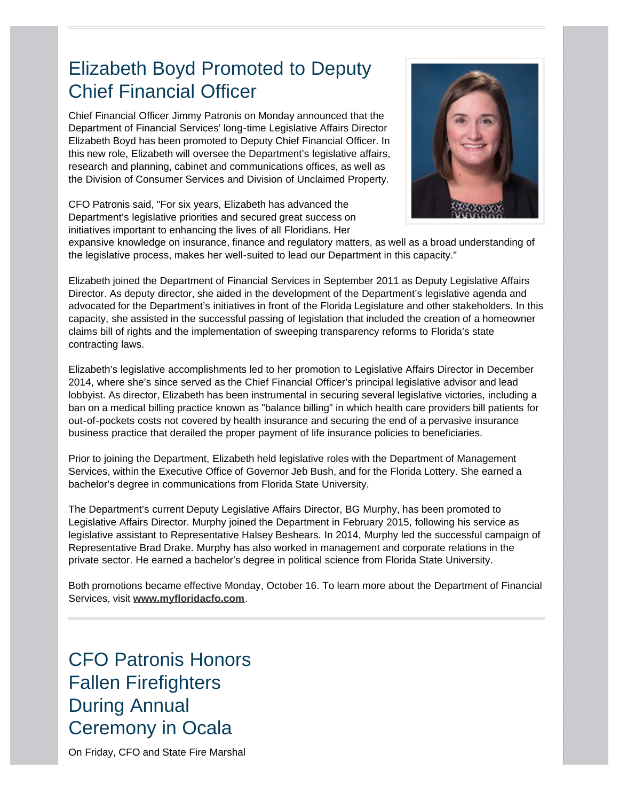### <span id="page-2-1"></span><span id="page-2-0"></span>Elizabeth Boyd Promoted to Deputy Chief Financial Officer

Chief Financial Officer Jimmy Patronis on Monday announced that the Department of Financial Services' long-time Legislative Affairs Director Elizabeth Boyd has been promoted to Deputy Chief Financial Officer. In this new role, Elizabeth will oversee the Department's legislative affairs, research and planning, cabinet and communications offices, as well as the Division of Consumer Services and Division of Unclaimed Property.

CFO Patronis said, "For six years, Elizabeth has advanced the Department's legislative priorities and secured great success on initiatives important to enhancing the lives of all Floridians. Her



expansive knowledge on insurance, finance and regulatory matters, as well as a broad understanding of the legislative process, makes her well-suited to lead our Department in this capacity."

Elizabeth joined the Department of Financial Services in September 2011 as Deputy Legislative Affairs Director. As deputy director, she aided in the development of the Department's legislative agenda and advocated for the Department's initiatives in front of the Florida Legislature and other stakeholders. In this capacity, she assisted in the successful passing of legislation that included the creation of a homeowner claims bill of rights and the implementation of sweeping transparency reforms to Florida's state contracting laws.

Elizabeth's legislative accomplishments led to her promotion to Legislative Affairs Director in December 2014, where she's since served as the Chief Financial Officer's principal legislative advisor and lead lobbyist. As director, Elizabeth has been instrumental in securing several legislative victories, including a ban on a medical billing practice known as "balance billing" in which health care providers bill patients for out-of-pockets costs not covered by health insurance and securing the end of a pervasive insurance business practice that derailed the proper payment of life insurance policies to beneficiaries.

Prior to joining the Department, Elizabeth held legislative roles with the Department of Management Services, within the Executive Office of Governor Jeb Bush, and for the Florida Lottery. She earned a bachelor's degree in communications from Florida State University.

The Department's current Deputy Legislative Affairs Director, BG Murphy, has been promoted to Legislative Affairs Director. Murphy joined the Department in February 2015, following his service as legislative assistant to Representative Halsey Beshears. In 2014, Murphy led the successful campaign of Representative Brad Drake. Murphy has also worked in management and corporate relations in the private sector. He earned a bachelor's degree in political science from Florida State University.

Both promotions became effective Monday, October 16. To learn more about the Department of Financial Services, visit **[www.myfloridacfo.com](http://www.myfloridacfo.com/)**.

CFO Patronis Honors Fallen Firefighters During Annual Ceremony in Ocala

On Friday, CFO and State Fire Marshal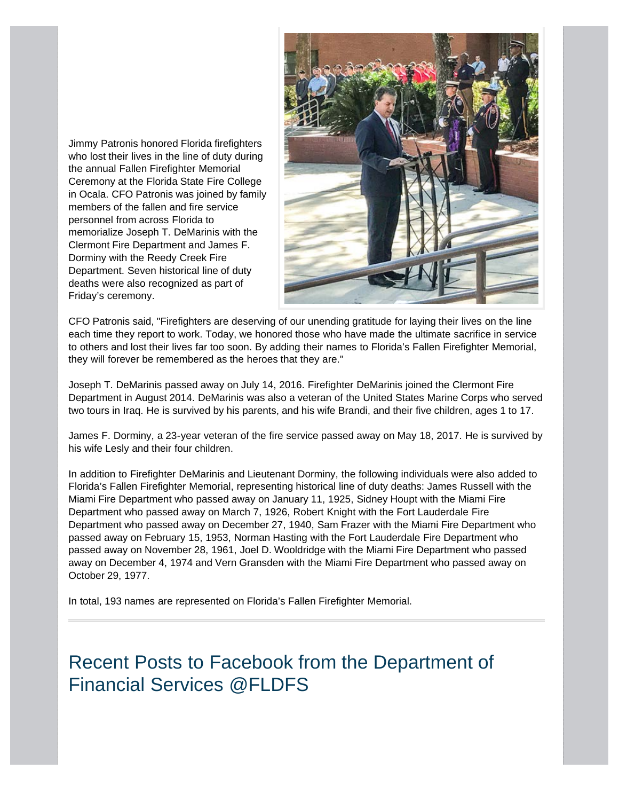<span id="page-3-0"></span>Jimmy Patronis honored Florida firefighters who lost their lives in the line of duty during the annual Fallen Firefighter Memorial Ceremony at the Florida State Fire College in Ocala. CFO Patronis was joined by family members of the fallen and fire service personnel from across Florida to memorialize Joseph T. DeMarinis with the Clermont Fire Department and James F. Dorminy with the Reedy Creek Fire Department. Seven historical line of duty deaths were also recognized as part of Friday's ceremony.



CFO Patronis said, "Firefighters are deserving of our unending gratitude for laying their lives on the line each time they report to work. Today, we honored those who have made the ultimate sacrifice in service to others and lost their lives far too soon. By adding their names to Florida's Fallen Firefighter Memorial, they will forever be remembered as the heroes that they are."

Joseph T. DeMarinis passed away on July 14, 2016. Firefighter DeMarinis joined the Clermont Fire Department in August 2014. DeMarinis was also a veteran of the United States Marine Corps who served two tours in Iraq. He is survived by his parents, and his wife Brandi, and their five children, ages 1 to 17.

James F. Dorminy, a 23-year veteran of the fire service passed away on May 18, 2017. He is survived by his wife Lesly and their four children.

In addition to Firefighter DeMarinis and Lieutenant Dorminy, the following individuals were also added to Florida's Fallen Firefighter Memorial, representing historical line of duty deaths: James Russell with the Miami Fire Department who passed away on January 11, 1925, Sidney Houpt with the Miami Fire Department who passed away on March 7, 1926, Robert Knight with the Fort Lauderdale Fire Department who passed away on December 27, 1940, Sam Frazer with the Miami Fire Department who passed away on February 15, 1953, Norman Hasting with the Fort Lauderdale Fire Department who passed away on November 28, 1961, Joel D. Wooldridge with the Miami Fire Department who passed away on December 4, 1974 and Vern Gransden with the Miami Fire Department who passed away on October 29, 1977.

In total, 193 names are represented on Florida's Fallen Firefighter Memorial.

Recent Posts to Facebook from the Department of Financial Services @FLDFS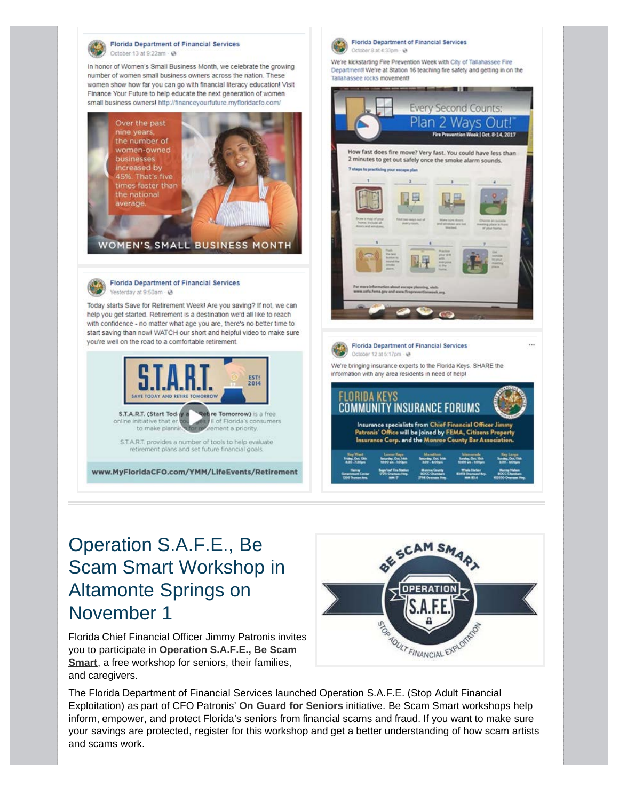<span id="page-4-0"></span>

## Operation S.A.F.E., Be Scam Smart Workshop in Altamonte Springs on November 1

Florida Chief Financial Officer Jimmy Patronis invites you to participate in **[Operation S.A.F.E., Be Scam](http://www.myfloridacfo.com/safe/) [Smart](http://www.myfloridacfo.com/safe/)**, a free workshop for seniors, their families, and caregivers.



The Florida Department of Financial Services launched Operation S.A.F.E. (Stop Adult Financial Exploitation) as part of CFO Patronis' **[On Guard for Seniors](http://www.myfloridacfo.com/OnGuard/)** initiative. Be Scam Smart workshops help inform, empower, and protect Florida's seniors from financial scams and fraud. If you want to make sure your savings are protected, register for this workshop and get a better understanding of how scam artists and scams work.